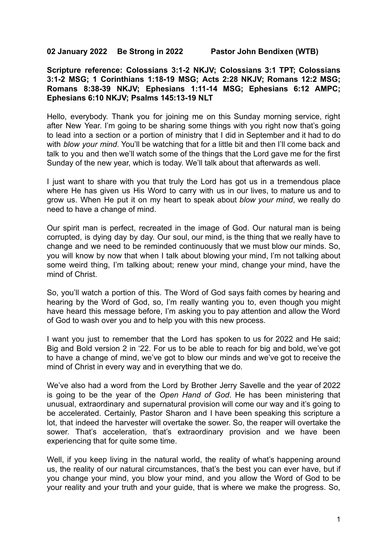**02 January 2022 Be Strong in 2022 Pastor John Bendixen (WTB)**

**Scripture reference: Colossians 3:1-2 NKJV; Colossians 3:1 TPT; Colossians 3:1-2 MSG; 1 Corinthians 1:18-19 MSG; Acts 2:28 NKJV; Romans 12:2 MSG; Romans 8:38-39 NKJV; Ephesians 1:11-14 MSG; Ephesians 6:12 AMPC; Ephesians 6:10 NKJV; Psalms 145:13-19 NLT**

Hello, everybody. Thank you for joining me on this Sunday morning service, right after New Year. I'm going to be sharing some things with you right now that's going to lead into a section or a portion of ministry that I did in September and it had to do with *blow your mind*. You'll be watching that for a little bit and then I'll come back and talk to you and then we'll watch some of the things that the Lord gave me for the first Sunday of the new year, which is today. We'll talk about that afterwards as well.

I just want to share with you that truly the Lord has got us in a tremendous place where He has given us His Word to carry with us in our lives, to mature us and to grow us. When He put it on my heart to speak about *blow your mind*, we really do need to have a change of mind.

Our spirit man is perfect, recreated in the image of God. Our natural man is being corrupted, is dying day by day. Our soul, our mind, is the thing that we really have to change and we need to be reminded continuously that we must blow our minds. So, you will know by now that when I talk about blowing your mind, I'm not talking about some weird thing, I'm talking about; renew your mind, change your mind, have the mind of Christ.

So, you'll watch a portion of this. The Word of God says faith comes by hearing and hearing by the Word of God, so, I'm really wanting you to, even though you might have heard this message before, I'm asking you to pay attention and allow the Word of God to wash over you and to help you with this new process.

I want you just to remember that the Lord has spoken to us for 2022 and He said; Big and Bold version 2 in '22. For us to be able to reach for big and bold, we've got to have a change of mind, we've got to blow our minds and we've got to receive the mind of Christ in every way and in everything that we do.

We've also had a word from the Lord by Brother Jerry Savelle and the year of 2022 is going to be the year of the *Open Hand of God*. He has been ministering that unusual, extraordinary and supernatural provision will come our way and it's going to be accelerated. Certainly, Pastor Sharon and I have been speaking this scripture a lot, that indeed the harvester will overtake the sower. So, the reaper will overtake the sower. That's acceleration, that's extraordinary provision and we have been experiencing that for quite some time.

Well, if you keep living in the natural world, the reality of what's happening around us, the reality of our natural circumstances, that's the best you can ever have, but if you change your mind, you blow your mind, and you allow the Word of God to be your reality and your truth and your guide, that is where we make the progress. So,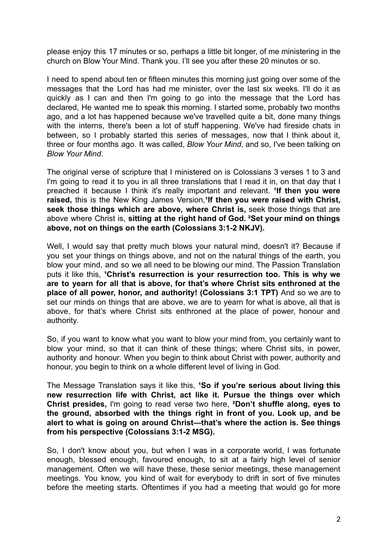please enjoy this 17 minutes or so, perhaps a little bit longer, of me ministering in the church on Blow Your Mind. Thank you. I'll see you after these 20 minutes or so.

I need to spend about ten or fifteen minutes this morning just going over some of the messages that the Lord has had me minister, over the last six weeks. I'll do it as quickly as I can and then I'm going to go into the message that the Lord has declared, He wanted me to speak this morning. I started some, probably two months ago, and a lot has happened because we've travelled quite a bit, done many things with the interns, there's been a lot of stuff happening. We've had fireside chats in between, so I probably started this series of messages, now that I think about it, three or four months ago. It was called, *Blow Your Mind*, and so, I've been talking on *Blow Your Mind*.

The original verse of scripture that I ministered on is Colossians 3 verses 1 to 3 and I'm going to read it to you in all three translations that I read it in, on that day that I preached it because I think it's really important and relevant. **¹If then you were raised,** this is the New King James Version,**¹If then you were raised with Christ, seek those things which are above, where Christ is,** seek those things that are above where Christ is, **sitting at the right hand of God. ²Set your mind on things above, not on things on the earth (Colossians 3:1-2 NKJV).**

Well, I would say that pretty much blows your natural mind, doesn't it? Because if you set your things on things above, and not on the natural things of the earth, you blow your mind, and so we all need to be blowing our mind. The Passion Translation puts it like this, **¹Christ's resurrection is your resurrection too. This is why we are to yearn for all that is above, for that's where Christ sits enthroned at the place of all power, honor, and authority! (Colossians 3:1 TPT)** And so we are to set our minds on things that are above, we are to yearn for what is above, all that is above, for that's where Christ sits enthroned at the place of power, honour and authority.

So, if you want to know what you want to blow your mind from, you certainly want to blow your mind, so that it can think of these things; where Christ sits, in power, authority and honour. When you begin to think about Christ with power, authority and honour, you begin to think on a whole different level of living in God.

The Message Translation says it like this, **¹So if you're serious about living this new resurrection life with Christ, act like it. Pursue the things over which Christ presides,** I'm going to read verse two here, **²Don't shuffle along, eyes to the ground, absorbed with the things right in front of you. Look up, and be alert to what is going on around Christ—that's where the action is. See things from his perspective (Colossians 3:1-2 MSG).**

So, I don't know about you, but when I was in a corporate world, I was fortunate enough, blessed enough, favoured enough, to sit at a fairly high level of senior management. Often we will have these, these senior meetings, these management meetings. You know, you kind of wait for everybody to drift in sort of five minutes before the meeting starts. Oftentimes if you had a meeting that would go for more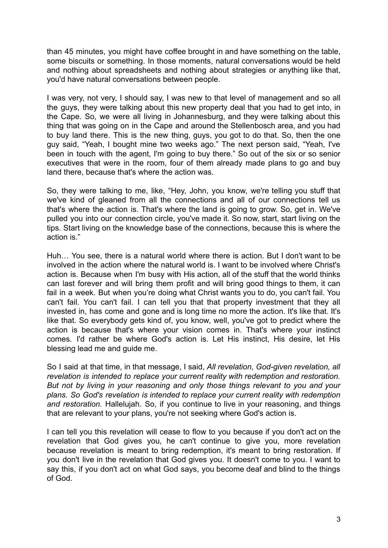than 45 minutes, you might have coffee brought in and have something on the table, some biscuits or something. In those moments, natural conversations would be held and nothing about spreadsheets and nothing about strategies or anything like that, you'd have natural conversations between people.

I was very, not very, I should say, I was new to that level of management and so all the guys, they were talking about this new property deal that you had to get into, in the Cape. So, we were all living in Johannesburg, and they were talking about this thing that was going on in the Cape and around the Stellenbosch area, and you had to buy land there. This is the new thing, guys, you got to do that. So, then the one guy said, "Yeah, I bought mine two weeks ago." The next person said, "Yeah, I've been in touch with the agent, I'm going to buy there." So out of the six or so senior executives that were in the room, four of them already made plans to go and buy land there, because that's where the action was.

So, they were talking to me, like, "Hey, John, you know, we're telling you stuff that we've kind of gleaned from all the connections and all of our connections tell us that's where the action is. That's where the land is going to grow. So, get in. We've pulled you into our connection circle, you've made it. So now, start, start living on the tips. Start living on the knowledge base of the connections, because this is where the action is."

Huh… You see, there is a natural world where there is action. But I don't want to be involved in the action where the natural world is. I want to be involved where Christ's action is. Because when I'm busy with His action, all of the stuff that the world thinks can last forever and will bring them profit and will bring good things to them, it can fail in a week. But when you're doing what Christ wants you to do, you can't fail. You can't fail. You can't fail. I can tell you that that property investment that they all invested in, has come and gone and is long time no more the action. It's like that. It's like that. So everybody gets kind of, you know, well, you've got to predict where the action is because that's where your vision comes in. That's where your instinct comes. I'd rather be where God's action is. Let His instinct, His desire, let His blessing lead me and guide me.

So I said at that time, in that message, I said, *All revelation, God-given revelation, all revelation is intended to replace your current reality with redemption and restoration. But not by living in your reasoning and only those things relevant to you and your plans. So God's revelation is intended to replace your current reality with redemption and restoration.* Hallelujah. So, if you continue to live in your reasoning, and things that are relevant to your plans, you're not seeking where God's action is.

I can tell you this revelation will cease to flow to you because if you don't act on the revelation that God gives you, he can't continue to give you, more revelation because revelation is meant to bring redemption, it's meant to bring restoration. If you don't live in the revelation that God gives you. It doesn't come to you. I want to say this, if you don't act on what God says, you become deaf and blind to the things of God.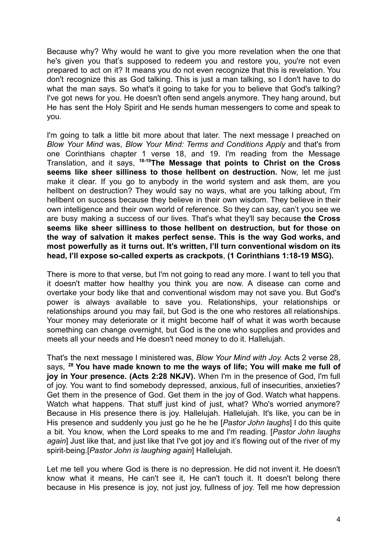Because why? Why would he want to give you more revelation when the one that he's given you that's supposed to redeem you and restore you, you're not even prepared to act on it? It means you do not even recognize that this is revelation. You don't recognize this as God talking. This is just a man talking, so I don't have to do what the man says. So what's it going to take for you to believe that God's talking? I've got news for you. He doesn't often send angels anymore. They hang around, but He has sent the Holy Spirit and He sends human messengers to come and speak to you.

I'm going to talk a little bit more about that later. The next message I preached on *Blow Your Mind* was, *Blow Your Mind: Terms and Conditions Apply* and that's from one Corinthians chapter 1 verse 18, and 19. I'm reading from the Message Translation, and it says, **18-19The Message that points to Christ on the Cross seems like sheer silliness to those hellbent on destruction.** Now, let me just make it clear. If you go to anybody in the world system and ask them, are you hellbent on destruction? They would say no ways, what are you talking about, I'm hellbent on success because they believe in their own wisdom. They believe in their own intelligence and their own world of reference. So they can say, can't you see we are busy making a success of our lives. That's what they'll say because **the Cross seems like sheer silliness to those hellbent on destruction, but for those on the way of salvation it makes perfect sense. This is the way God works, and most powerfully as it turns out. It's written, I'll turn conventional wisdom on its head, I'll expose so-called experts as crackpots**, **(1 Corinthians 1:18-19 MSG).**

There is more to that verse, but I'm not going to read any more. I want to tell you that it doesn't matter how healthy you think you are now. A disease can come and overtake your body like that and conventional wisdom may not save you. But God's power is always available to save you. Relationships, your relationships or relationships around you may fail, but God is the one who restores all relationships. Your money may deteriorate or it might become half of what it was worth because something can change overnight, but God is the one who supplies and provides and meets all your needs and He doesn't need money to do it. Hallelujah.

That's the next message I ministered was, *Blow Your Mind with Joy.* Acts 2 verse 28, says, **<sup>28</sup> You have made known to me the ways of life; You will make me full of joy in Your presence. (Acts 2:28 NKJV).** When I'm in the presence of God, I'm full of joy. You want to find somebody depressed, anxious, full of insecurities, anxieties? Get them in the presence of God. Get them in the joy of God. Watch what happens. Watch what happens. That stuff just kind of just, what? Who's worried anymore? Because in His presence there is joy. Hallelujah. Hallelujah. It's like, you can be in His presence and suddenly you just go he he he [*Pastor John laughs*] I do this quite a bit. You know, when the Lord speaks to me and I'm reading. [*Pastor John laughs again*] Just like that, and just like that I've got joy and it's flowing out of the river of my spirit-being.[*Pastor John is laughing again*] Hallelujah.

Let me tell you where God is there is no depression. He did not invent it. He doesn't know what it means, He can't see it, He can't touch it. It doesn't belong there because in His presence is joy, not just joy, fullness of joy. Tell me how depression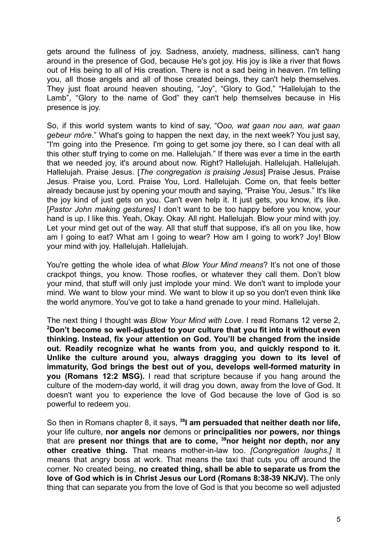gets around the fullness of joy. Sadness, anxiety, madness, silliness, can't hang around in the presence of God, because He's got joy. His joy is like a river that flows out of His being to all of His creation. There is not a sad being in heaven. I'm telling you, all those angels and all of those created beings, they can't help themselves. They just float around heaven shouting, "Joy", "Glory to God," "Hallelujah to the Lamb". "Glory to the name of God" they can't help themselves because in His presence is joy.

So, if this world system wants to kind of say, "O*oo, wat gaan nou aan, wat gaan gebeur môre*." What's going to happen the next day, in the next week? You just say, "I'm going into the Presence. I'm going to get some joy there, so I can deal with all this other stuff trying to come on me. Hallelujah." If there was ever a time in the earth that we needed joy, it's around about now. Right? Hallelujah. Hallelujah. Hallelujah. Hallelujah. Praise Jesus. [*The congregation is praising Jesus*] Praise Jesus. Praise Jesus. Praise you, Lord. Praise You, Lord. Hallelujah. Come on, that feels better already because just by opening your mouth and saying, "Praise You, Jesus." It's like the joy kind of just gets on you. Can't even help it. It just gets, you know, it's like. [*Pastor John making gestures]* I don't want to be too happy before you know, your hand is up. I like this. Yeah, Okay. Okay. All right. Hallelujah. Blow your mind with joy. Let your mind get out of the way. All that stuff that suppose, it's all on you like, how am I going to eat? What am I going to wear? How am I going to work? Joy! Blow your mind with joy. Hallelujah. Hallelujah.

You're getting the whole idea of what *Blow Your Mind means*? It's not one of those crackpot things, you know. Those roofies, or whatever they call them. Don't blow your mind, that stuff will only just implode your mind. We don't want to implode your mind. We want to blow your mind. We want to blow it up so you don't even think like the world anymore. You've got to take a hand grenade to your mind. Hallelujah.

The next thing I thought was *Blow Your Mind with Love.* I read Romans 12 verse 2, **<sup>2</sup>Don't become so well-adjusted to your culture that you fit into it without even thinking. Instead, fix your attention on God. You'll be changed from the inside out. Readily recognize what he wants from you, and quickly respond to it. Unlike the culture around you, always dragging you down to its level of immaturity, God brings the best out of you, develops well-formed maturity in you (Romans 12:2 MSG).** I read that scripture because if you hang around the culture of the modern-day world, it will drag you down, away from the love of God. It doesn't want you to experience the love of God because the love of God is so powerful to redeem you.

So then in Romans chapter 8, it says, **<sup>38</sup> I am persuaded that neither death nor life,** your life culture, **nor angels nor** demons or **principalities nor powers, nor things** that are **present nor things that are to come, <sup>39</sup>nor height nor depth, nor any other creative thing.** That means mother-in-law too. *[Congregation laughs.]* It means that angry boss at work. That means the taxi that cuts you off around the corner. No created being, **no created thing, shall be able to separate us from the love of God which is in Christ Jesus our Lord (Romans 8:38-39 NKJV).** The only thing that can separate you from the love of God is that you become so well adjusted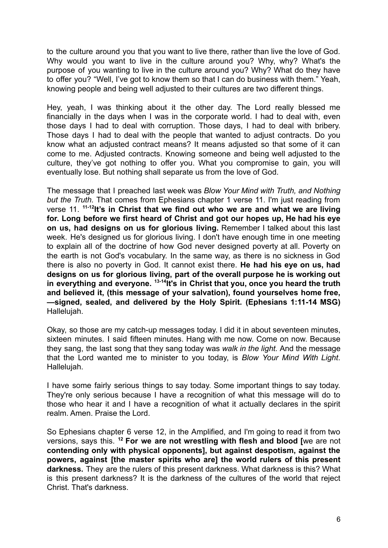to the culture around you that you want to live there, rather than live the love of God. Why would you want to live in the culture around you? Why, why? What's the purpose of you wanting to live in the culture around you? Why? What do they have to offer you? "Well, I've got to know them so that I can do business with them." Yeah, knowing people and being well adjusted to their cultures are two different things.

Hey, yeah, I was thinking about it the other day. The Lord really blessed me financially in the days when I was in the corporate world. I had to deal with, even those days I had to deal with corruption. Those days, I had to deal with bribery. Those days I had to deal with the people that wanted to adjust contracts. Do you know what an adjusted contract means? It means adjusted so that some of it can come to me. Adjusted contracts. Knowing someone and being well adjusted to the culture, they've got nothing to offer you. What you compromise to gain, you will eventually lose. But nothing shall separate us from the love of God.

The message that I preached last week was *Blow Your Mind with Truth, and Nothing but the Truth.* That comes from Ephesians chapter 1 verse 11. I'm just reading from verse 11. **11-12 It's in Christ that we find out who we are and what we are living for. Long before we first heard of Christ and got our hopes up, He had his eye on us, had designs on us for glorious living.** Remember I talked about this last week. He's designed us for glorious living. I don't have enough time in one meeting to explain all of the doctrine of how God never designed poverty at all. Poverty on the earth is not God's vocabulary. In the same way, as there is no sickness in God there is also no poverty in God. It cannot exist there. **He had his eye on us, had designs on us for glorious living, part of the overall purpose he is working out in everything and everyone. 13-14 It's in Christ that you, once you heard the truth and believed it, (this message of your salvation), found yourselves home free, —signed, sealed, and delivered by the Holy Spirit. (Ephesians 1:11-14 MSG)** Hallelujah.

Okay, so those are my catch-up messages today. I did it in about seventeen minutes, sixteen minutes. I said fifteen minutes. Hang with me now. Come on now. Because they sang, the last song that they sang today was *walk in the light.* And the message that the Lord wanted me to minister to you today, is *Blow Your Mind With Light*. Hallelujah.

I have some fairly serious things to say today. Some important things to say today. They're only serious because I have a recognition of what this message will do to those who hear it and I have a recognition of what it actually declares in the spirit realm. Amen. Praise the Lord.

So Ephesians chapter 6 verse 12, in the Amplified, and I'm going to read it from two versions, says this. **<sup>12</sup> For we are not wrestling with flesh and blood [**we are not **contending only with physical opponents], but against despotism, against the powers, against [the master spirits who are] the world rulers of this present darkness.** They are the rulers of this present darkness. What darkness is this? What is this present darkness? It is the darkness of the cultures of the world that reject Christ. That's darkness.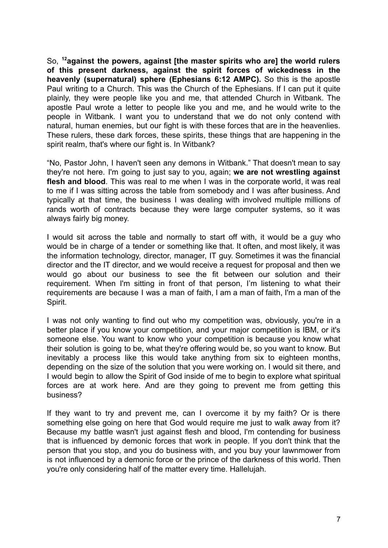So, **<sup>12</sup>against the powers, against [the master spirits who are] the world rulers of this present darkness, against the spirit forces of wickedness in the heavenly (supernatural) sphere (Ephesians 6:12 AMPC).** So this is the apostle Paul writing to a Church. This was the Church of the Ephesians. If I can put it quite plainly, they were people like you and me, that attended Church in Witbank. The apostle Paul wrote a letter to people like you and me, and he would write to the people in Witbank. I want you to understand that we do not only contend with natural, human enemies, but our fight is with these forces that are in the heavenlies. These rulers, these dark forces, these spirits, these things that are happening in the spirit realm, that's where our fight is. In Witbank?

"No, Pastor John, I haven't seen any demons in Witbank." That doesn't mean to say they're not here. I'm going to just say to you, again; **we are not wrestling against flesh and blood**. This was real to me when I was in the corporate world, it was real to me if I was sitting across the table from somebody and I was after business. And typically at that time, the business I was dealing with involved multiple millions of rands worth of contracts because they were large computer systems, so it was always fairly big money.

I would sit across the table and normally to start off with, it would be a guy who would be in charge of a tender or something like that. It often, and most likely, it was the information technology, director, manager, IT guy. Sometimes it was the financial director and the IT director, and we would receive a request for proposal and then we would go about our business to see the fit between our solution and their requirement. When I'm sitting in front of that person, I'm listening to what their requirements are because I was a man of faith, I am a man of faith, I'm a man of the Spirit.

I was not only wanting to find out who my competition was, obviously, you're in a better place if you know your competition, and your major competition is IBM, or it's someone else. You want to know who your competition is because you know what their solution is going to be, what they're offering would be, so you want to know. But inevitably a process like this would take anything from six to eighteen months, depending on the size of the solution that you were working on. I would sit there, and I would begin to allow the Spirit of God inside of me to begin to explore what spiritual forces are at work here. And are they going to prevent me from getting this business?

If they want to try and prevent me, can I overcome it by my faith? Or is there something else going on here that God would require me just to walk away from it? Because my battle wasn't just against flesh and blood, I'm contending for business that is influenced by demonic forces that work in people. If you don't think that the person that you stop, and you do business with, and you buy your lawnmower from is not influenced by a demonic force or the prince of the darkness of this world. Then you're only considering half of the matter every time. Hallelujah.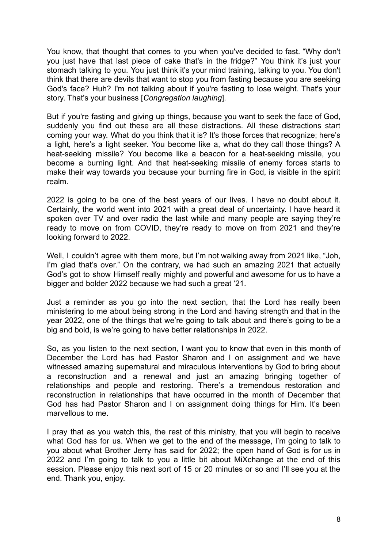You know, that thought that comes to you when you've decided to fast. "Why don't you just have that last piece of cake that's in the fridge?" You think it's just your stomach talking to you. You just think it's your mind training, talking to you. You don't think that there are devils that want to stop you from fasting because you are seeking God's face? Huh? I'm not talking about if you're fasting to lose weight. That's your story. That's your business [*Congregation laughing*].

But if you're fasting and giving up things, because you want to seek the face of God, suddenly you find out these are all these distractions. All these distractions start coming your way. What do you think that it is? It's those forces that recognize; here's a light, here's a light seeker. You become like a, what do they call those things? A heat-seeking missile? You become like a beacon for a heat-seeking missile, you become a burning light. And that heat-seeking missile of enemy forces starts to make their way towards you because your burning fire in God, is visible in the spirit realm.

2022 is going to be one of the best years of our lives. I have no doubt about it. Certainly, the world went into 2021 with a great deal of uncertainty. I have heard it spoken over TV and over radio the last while and many people are saying they're ready to move on from COVID, they're ready to move on from 2021 and they're looking forward to 2022.

Well, I couldn't agree with them more, but I'm not walking away from 2021 like, "Joh, I'm glad that's over." On the contrary, we had such an amazing 2021 that actually God's got to show Himself really mighty and powerful and awesome for us to have a bigger and bolder 2022 because we had such a great '21.

Just a reminder as you go into the next section, that the Lord has really been ministering to me about being strong in the Lord and having strength and that in the year 2022, one of the things that we're going to talk about and there's going to be a big and bold, is we're going to have better relationships in 2022.

So, as you listen to the next section, I want you to know that even in this month of December the Lord has had Pastor Sharon and I on assignment and we have witnessed amazing supernatural and miraculous interventions by God to bring about a reconstruction and a renewal and just an amazing bringing together of relationships and people and restoring. There's a tremendous restoration and reconstruction in relationships that have occurred in the month of December that God has had Pastor Sharon and I on assignment doing things for Him. It's been marvellous to me.

I pray that as you watch this, the rest of this ministry, that you will begin to receive what God has for us. When we get to the end of the message, I'm going to talk to you about what Brother Jerry has said for 2022; the open hand of God is for us in 2022 and I'm going to talk to you a little bit about MiXchange at the end of this session. Please enjoy this next sort of 15 or 20 minutes or so and I'll see you at the end. Thank you, enjoy.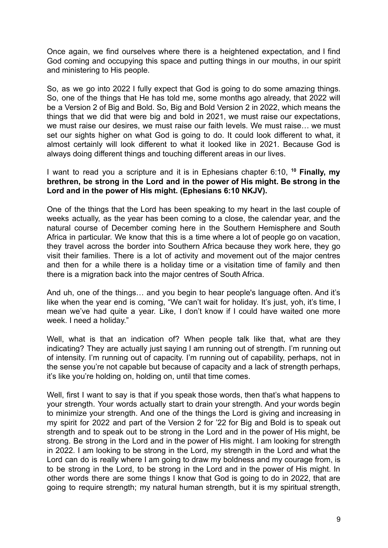Once again, we find ourselves where there is a heightened expectation, and I find God coming and occupying this space and putting things in our mouths, in our spirit and ministering to His people.

So, as we go into 2022 I fully expect that God is going to do some amazing things. So, one of the things that He has told me, some months ago already, that 2022 will be a Version 2 of Big and Bold. So, Big and Bold Version 2 in 2022, which means the things that we did that were big and bold in 2021, we must raise our expectations, we must raise our desires, we must raise our faith levels. We must raise… we must set our sights higher on what God is going to do. It could look different to what, it almost certainly will look different to what it looked like in 2021. Because God is always doing different things and touching different areas in our lives.

I want to read you a scripture and it is in Ephesians chapter 6:10, **<sup>10</sup> Finally, my brethren, be strong in the Lord and in the power of His might. Be strong in the Lord and in the power of His might. (Ephesians 6:10 NKJV).**

One of the things that the Lord has been speaking to my heart in the last couple of weeks actually, as the year has been coming to a close, the calendar year, and the natural course of December coming here in the Southern Hemisphere and South Africa in particular. We know that this is a time where a lot of people go on vacation, they travel across the border into Southern Africa because they work here, they go visit their families. There is a lot of activity and movement out of the major centres and then for a while there is a holiday time or a visitation time of family and then there is a migration back into the major centres of South Africa.

And uh, one of the things… and you begin to hear people's language often. And it's like when the year end is coming, "We can't wait for holiday. It's just, yoh, it's time, I mean we've had quite a year. Like, I don't know if I could have waited one more week. I need a holiday."

Well, what is that an indication of? When people talk like that, what are they indicating? They are actually just saying I am running out of strength. I'm running out of intensity. I'm running out of capacity. I'm running out of capability, perhaps, not in the sense you're not capable but because of capacity and a lack of strength perhaps, it's like you're holding on, holding on, until that time comes.

Well, first I want to say is that if you speak those words, then that's what happens to your strength. Your words actually start to drain your strength. And your words begin to minimize your strength. And one of the things the Lord is giving and increasing in my spirit for 2022 and part of the Version 2 for '22 for Big and Bold is to speak out strength and to speak out to be strong in the Lord and in the power of His might, be strong. Be strong in the Lord and in the power of His might. I am looking for strength in 2022. I am looking to be strong in the Lord, my strength in the Lord and what the Lord can do is really where I am going to draw my boldness and my courage from, is to be strong in the Lord, to be strong in the Lord and in the power of His might. In other words there are some things I know that God is going to do in 2022, that are going to require strength; my natural human strength, but it is my spiritual strength,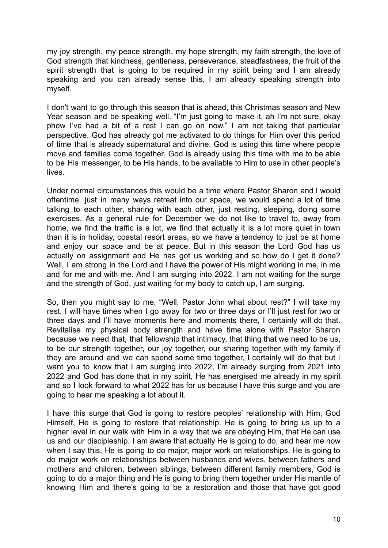my joy strength, my peace strength, my hope strength, my faith strength, the love of God strength that kindness, gentleness, perseverance, steadfastness, the fruit of the spirit strength that is going to be required in my spirit being and I am already speaking and you can already sense this, I am already speaking strength into myself.

I don't want to go through this season that is ahead, this Christmas season and New Year season and be speaking well. "I'm just going to make it, ah I'm not sure, okay phew I've had a bit of a rest I can go on now." I am not taking that particular perspective. God has already got me activated to do things for Him over this period of time that is already supernatural and divine. God is using this time where people move and families come together. God is already using this time with me to be able to be His messenger, to be His hands, to be available to Him to use in other people's **lives** 

Under normal circumstances this would be a time where Pastor Sharon and I would oftentime, just in many ways retreat into our space, we would spend a lot of time talking to each other, sharing with each other, just resting, sleeping, doing some exercises. As a general rule for December we do not like to travel to, away from home, we find the traffic is a lot, we find that actually it is a lot more quiet in town than it is in holiday, coastal resort areas, so we have a tendency to just be at home and enjoy our space and be at peace. But in this season the Lord God has us actually on assignment and He has got us working and so how do I get it done? Well, I am strong in the Lord and I have the power of His might working in me, in me and for me and with me. And I am surging into 2022. I am not waiting for the surge and the strength of God, just waiting for my body to catch up, I am surging.

So, then you might say to me, "Well, Pastor John what about rest?" I will take my rest, I will have times when I go away for two or three days or I'll just rest for two or three days and I'll have moments here and moments there, I certainly will do that. Revitalise my physical body strength and have time alone with Pastor Sharon because we need that, that fellowship that intimacy, that thing that we need to be us, to be our strength together, our joy together, our sharing together with my family if they are around and we can spend some time together, I certainly will do that but I want you to know that I am surging into 2022, I'm already surging from 2021 into 2022 and God has done that in my spirit, He has energised me already in my spirit and so I look forward to what 2022 has for us because I have this surge and you are going to hear me speaking a lot about it.

I have this surge that God is going to restore peoples' relationship with Him, God Himself, He is going to restore that relationship. He is going to bring us up to a higher level in our walk with Him in a way that we are obeying Him, that He can use us and our discipleship. I am aware that actually He is going to do, and hear me now when I say this, He is going to do major, major work on relationships. He is going to do major work on relationships between husbands and wives, between fathers and mothers and children, between siblings, between different family members, God is going to do a major thing and He is going to bring them together under His mantle of knowing Him and there's going to be a restoration and those that have got good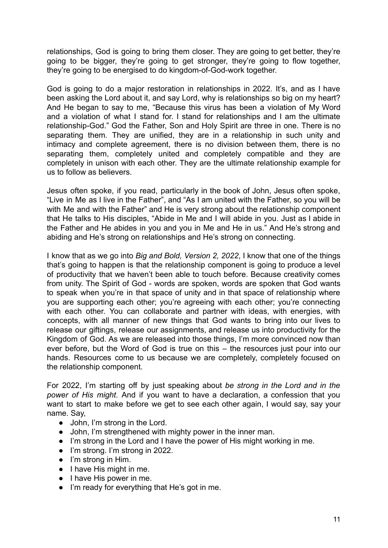relationships, God is going to bring them closer. They are going to get better, they're going to be bigger, they're going to get stronger, they're going to flow together, they're going to be energised to do kingdom-of-God-work together.

God is going to do a major restoration in relationships in 2022. It's, and as I have been asking the Lord about it, and say Lord, why is relationships so big on my heart? And He began to say to me, "Because this virus has been a violation of My Word and a violation of what I stand for. I stand for relationships and I am the ultimate relationship-God." God the Father, Son and Holy Spirit are three in one. There is no separating them. They are unified, they are in a relationship in such unity and intimacy and complete agreement, there is no division between them, there is no separating them, completely united and completely compatible and they are completely in unison with each other. They are the ultimate relationship example for us to follow as believers.

Jesus often spoke, if you read, particularly in the book of John, Jesus often spoke, "Live in Me as I live in the Father", and "As I am united with the Father, so you will be with Me and with the Father" and He is very strong about the relationship component that He talks to His disciples, "Abide in Me and I will abide in you. Just as I abide in the Father and He abides in you and you in Me and He in us." And He's strong and abiding and He's strong on relationships and He's strong on connecting.

I know that as we go into *Big and Bold, Version 2, 2022*, I know that one of the things that's going to happen is that the relationship component is going to produce a level of productivity that we haven't been able to touch before. Because creativity comes from unity. The Spirit of God - words are spoken, words are spoken that God wants to speak when you're in that space of unity and in that space of relationship where you are supporting each other; you're agreeing with each other; you're connecting with each other. You can collaborate and partner with ideas, with energies, with concepts, with all manner of new things that God wants to bring into our lives to release our giftings, release our assignments, and release us into productivity for the Kingdom of God. As we are released into those things, I'm more convinced now than ever before, but the Word of God is true on this – the resources just pour into our hands. Resources come to us because we are completely, completely focused on the relationship component.

For 2022, I'm starting off by just speaking about *be strong in the Lord and in the power of His might*. And if you want to have a declaration, a confession that you want to start to make before we get to see each other again, I would say, say your name. Say,

- John, I'm strong in the Lord.
- John, I'm strengthened with mighty power in the inner man.
- I'm strong in the Lord and I have the power of His might working in me.
- I'm strong. I'm strong in 2022.
- I'm strong in Him.
- I have His might in me.
- I have His power in me.
- I'm ready for everything that He's got in me.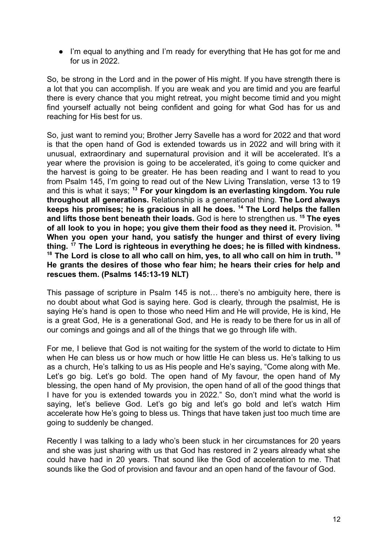● I'm equal to anything and I'm ready for everything that He has got for me and for us in 2022.

So, be strong in the Lord and in the power of His might. If you have strength there is a lot that you can accomplish. If you are weak and you are timid and you are fearful there is every chance that you might retreat, you might become timid and you might find yourself actually not being confident and going for what God has for us and reaching for His best for us.

So, just want to remind you; Brother Jerry Savelle has a word for 2022 and that word is that the open hand of God is extended towards us in 2022 and will bring with it unusual, extraordinary and supernatural provision and it will be accelerated. It's a year where the provision is going to be accelerated, it's going to come quicker and the harvest is going to be greater. He has been reading and I want to read to you from Psalm 145, I'm going to read out of the New Living Translation, verse 13 to 19 and this is what it says; **<sup>13</sup> For your kingdom is an everlasting kingdom. You rule throughout all generations.** Relationship is a generational thing. **The Lord always keeps his promises; he is gracious in all he does. <sup>14</sup> The Lord helps the fallen and lifts those bent beneath their loads.** God is here to strengthen us. **<sup>15</sup> The eyes of all look to you in hope; you give them their food as they need it.** Provision. **<sup>16</sup> When you open your hand, you satisfy the hunger and thirst of every living thing. <sup>17</sup> The Lord is righteous in everything he does; he is filled with kindness.** <sup>18</sup> The Lord is close to all who call on him, yes, to all who call on him in truth.<sup>19</sup> **He grants the desires of those who fear him; he hears their cries for help and rescues them. (Psalms 145:13-19 NLT)**

This passage of scripture in Psalm 145 is not… there's no ambiguity here, there is no doubt about what God is saying here. God is clearly, through the psalmist, He is saying He's hand is open to those who need Him and He will provide, He is kind, He is a great God, He is a generational God, and He is ready to be there for us in all of our comings and goings and all of the things that we go through life with.

For me, I believe that God is not waiting for the system of the world to dictate to Him when He can bless us or how much or how little He can bless us. He's talking to us as a church, He's talking to us as His people and He's saying, "Come along with Me. Let's go big. Let's go bold. The open hand of My favour, the open hand of My blessing, the open hand of My provision, the open hand of all of the good things that I have for you is extended towards you in 2022." So, don't mind what the world is saying, let's believe God. Let's go big and let's go bold and let's watch Him accelerate how He's going to bless us. Things that have taken just too much time are going to suddenly be changed.

Recently I was talking to a lady who's been stuck in her circumstances for 20 years and she was just sharing with us that God has restored in 2 years already what she could have had in 20 years. That sound like the God of acceleration to me. That sounds like the God of provision and favour and an open hand of the favour of God.